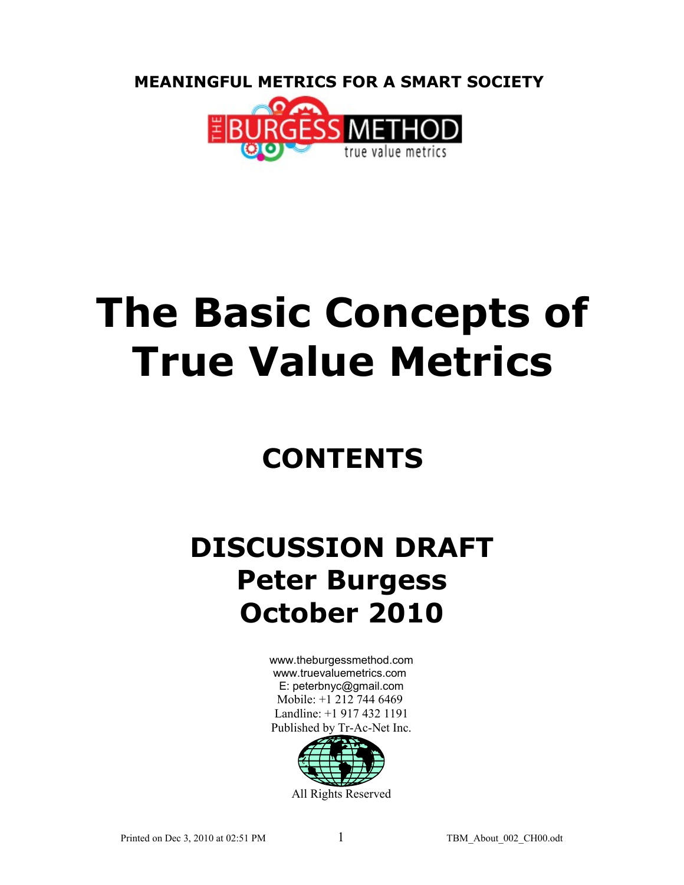**MEANINGFUL METRICS FOR A SMART SOCIETY** 



# **The Basic Concepts of True Value Metrics**

# **CONTENTS**

# **DISCUSSION DRAFT Peter Burgess October 2010**

[www.theburgessmethod.com](http://www.theburgessmethod.com/) [www.truevaluemetrics.com](http://www.tr-ac-net.org/) E: peterbnyc@gmail.com Mobile: +1 212 744 6469 Landline: +1 917 432 1191 Published by Tr-Ac-Net Inc.

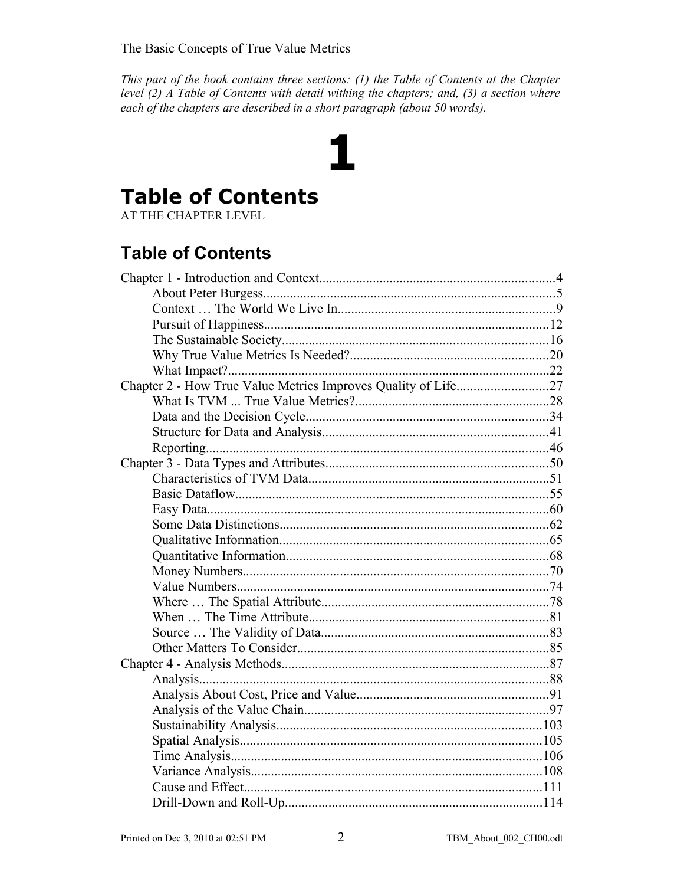This part of the book contains three sections: (1) the Table of Contents at the Chapter level  $(2)$  A Table of Contents with detail withing the chapters; and,  $(3)$  a section where each of the chapters are described in a short paragraph (about 50 words).

1

### **Table of Contents**

AT THE CHAPTER LEVEL

### **Table of Contents**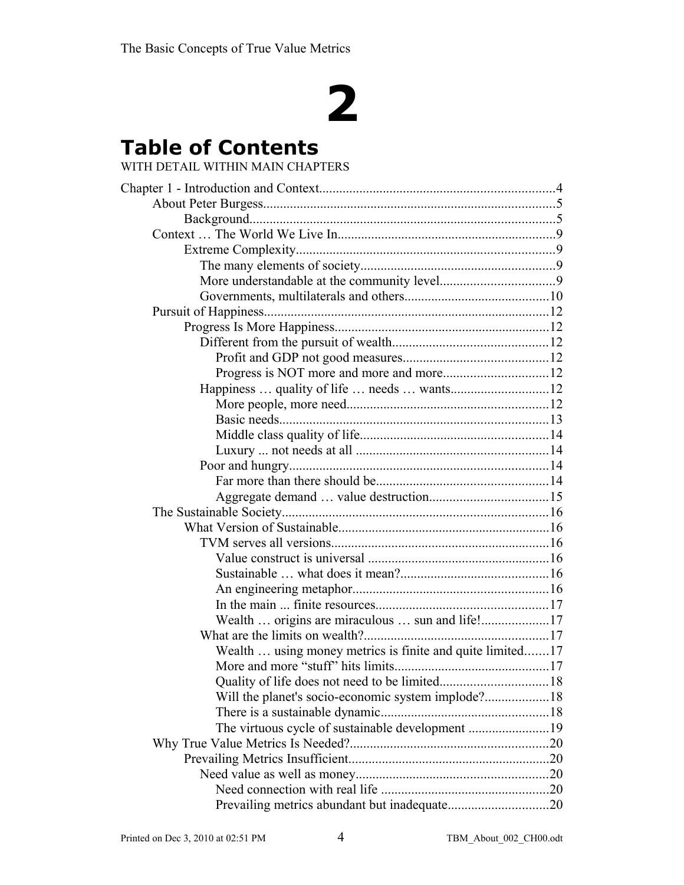# **2**

## **Table of Contents**

#### WITH DETAIL WITHIN MAIN CHAPTERS

| Happiness  quality of life  needs  wants12<br>Wealth  using money metrics is finite and quite limited17<br>Quality of life does not need to be limited<br>. 18<br>The virtuous cycle of sustainable development 19 |  |
|--------------------------------------------------------------------------------------------------------------------------------------------------------------------------------------------------------------------|--|
|                                                                                                                                                                                                                    |  |
|                                                                                                                                                                                                                    |  |
|                                                                                                                                                                                                                    |  |
|                                                                                                                                                                                                                    |  |
|                                                                                                                                                                                                                    |  |
|                                                                                                                                                                                                                    |  |
|                                                                                                                                                                                                                    |  |
|                                                                                                                                                                                                                    |  |
|                                                                                                                                                                                                                    |  |
|                                                                                                                                                                                                                    |  |
|                                                                                                                                                                                                                    |  |
|                                                                                                                                                                                                                    |  |
|                                                                                                                                                                                                                    |  |
|                                                                                                                                                                                                                    |  |
|                                                                                                                                                                                                                    |  |
|                                                                                                                                                                                                                    |  |
|                                                                                                                                                                                                                    |  |
|                                                                                                                                                                                                                    |  |
|                                                                                                                                                                                                                    |  |
|                                                                                                                                                                                                                    |  |
|                                                                                                                                                                                                                    |  |
|                                                                                                                                                                                                                    |  |
|                                                                                                                                                                                                                    |  |
|                                                                                                                                                                                                                    |  |
|                                                                                                                                                                                                                    |  |
|                                                                                                                                                                                                                    |  |
|                                                                                                                                                                                                                    |  |
|                                                                                                                                                                                                                    |  |
|                                                                                                                                                                                                                    |  |
|                                                                                                                                                                                                                    |  |
|                                                                                                                                                                                                                    |  |
|                                                                                                                                                                                                                    |  |
|                                                                                                                                                                                                                    |  |
|                                                                                                                                                                                                                    |  |
|                                                                                                                                                                                                                    |  |
|                                                                                                                                                                                                                    |  |
|                                                                                                                                                                                                                    |  |
|                                                                                                                                                                                                                    |  |
|                                                                                                                                                                                                                    |  |
|                                                                                                                                                                                                                    |  |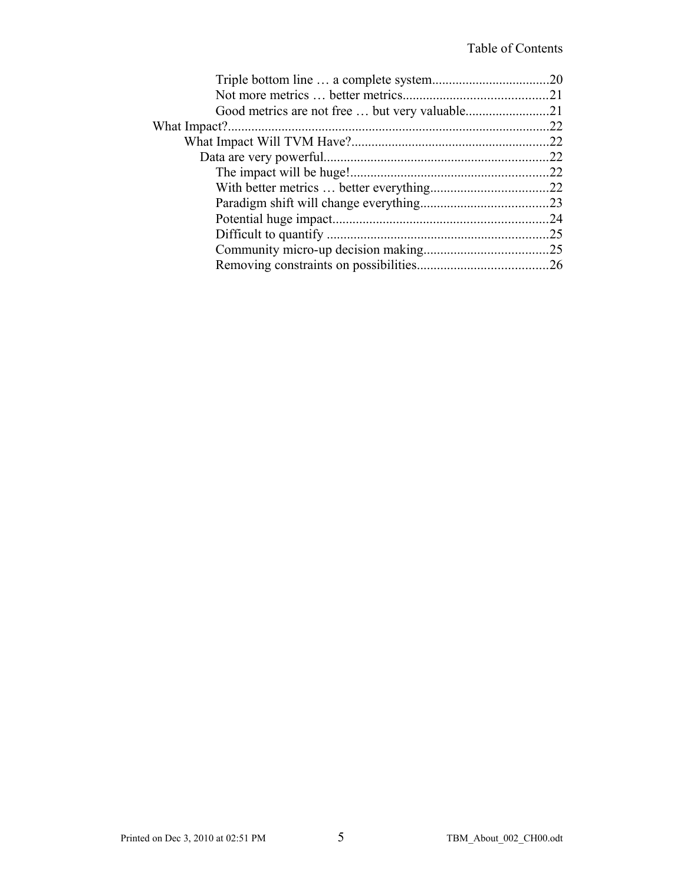| .25 |
|-----|
|     |
|     |
|     |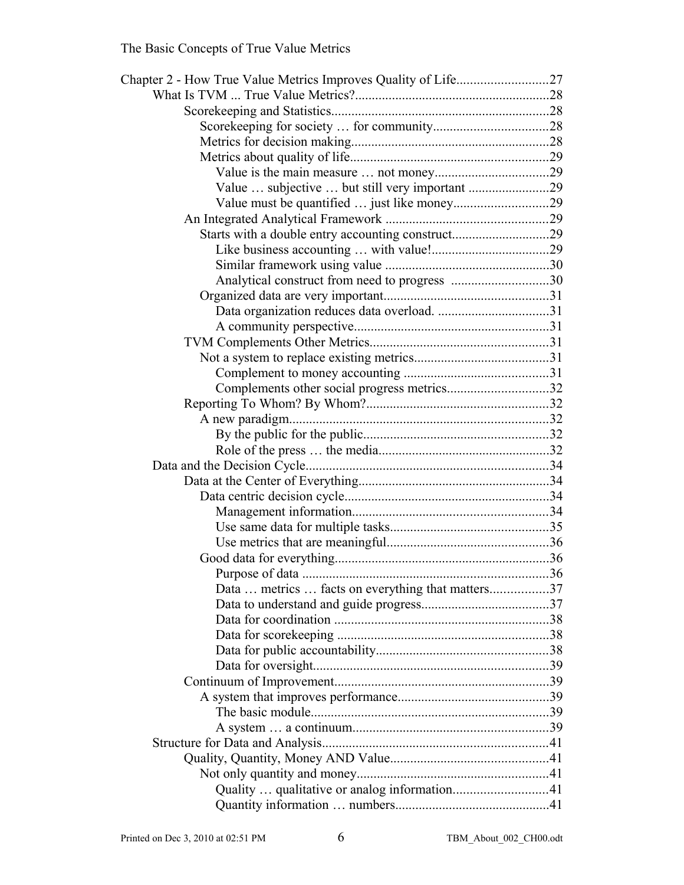| Chapter 2 - How True Value Metrics Improves Quality of Life27 |      |
|---------------------------------------------------------------|------|
|                                                               |      |
|                                                               |      |
|                                                               |      |
|                                                               |      |
|                                                               |      |
|                                                               |      |
| Value  subjective  but still very important 29                |      |
| Value must be quantified  just like money29                   |      |
|                                                               |      |
| Starts with a double entry accounting construct29             |      |
|                                                               |      |
|                                                               |      |
| Analytical construct from need to progress 30                 |      |
|                                                               |      |
|                                                               |      |
|                                                               |      |
|                                                               |      |
|                                                               |      |
|                                                               |      |
| Complements other social progress metrics32                   |      |
|                                                               |      |
|                                                               |      |
|                                                               |      |
|                                                               |      |
|                                                               |      |
|                                                               |      |
|                                                               |      |
|                                                               |      |
|                                                               |      |
|                                                               |      |
|                                                               |      |
|                                                               | . 36 |
| Data  metrics  facts on everything that matters37             |      |
|                                                               |      |
|                                                               |      |
|                                                               |      |
|                                                               |      |
|                                                               |      |
|                                                               |      |
|                                                               |      |
|                                                               |      |
|                                                               |      |
|                                                               |      |
|                                                               |      |
|                                                               |      |
| Quality  qualitative or analog information41                  |      |
|                                                               |      |
|                                                               |      |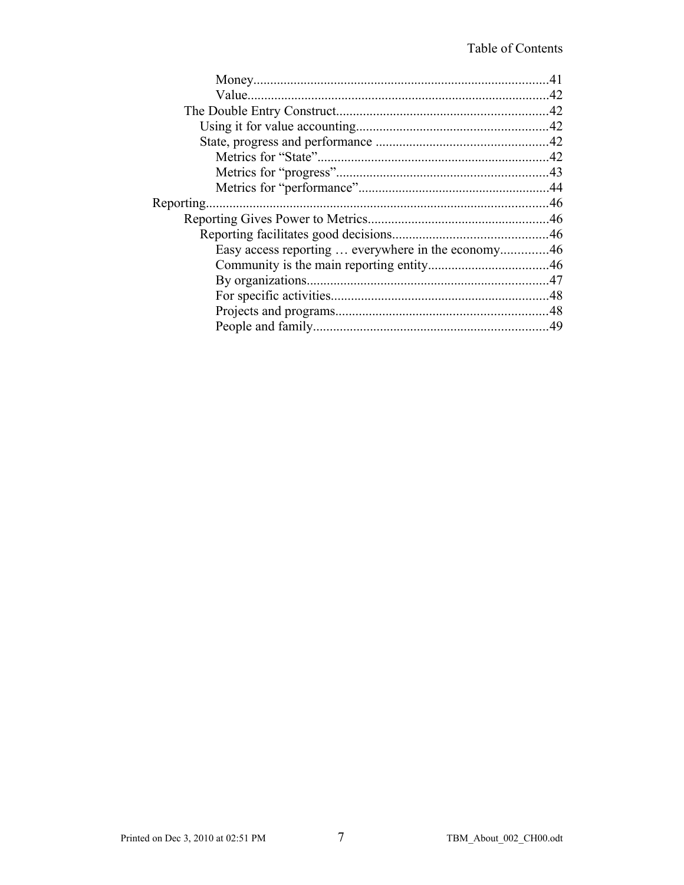| Reporting |  |
|-----------|--|
|           |  |
|           |  |
|           |  |
|           |  |
|           |  |
|           |  |
|           |  |
|           |  |
|           |  |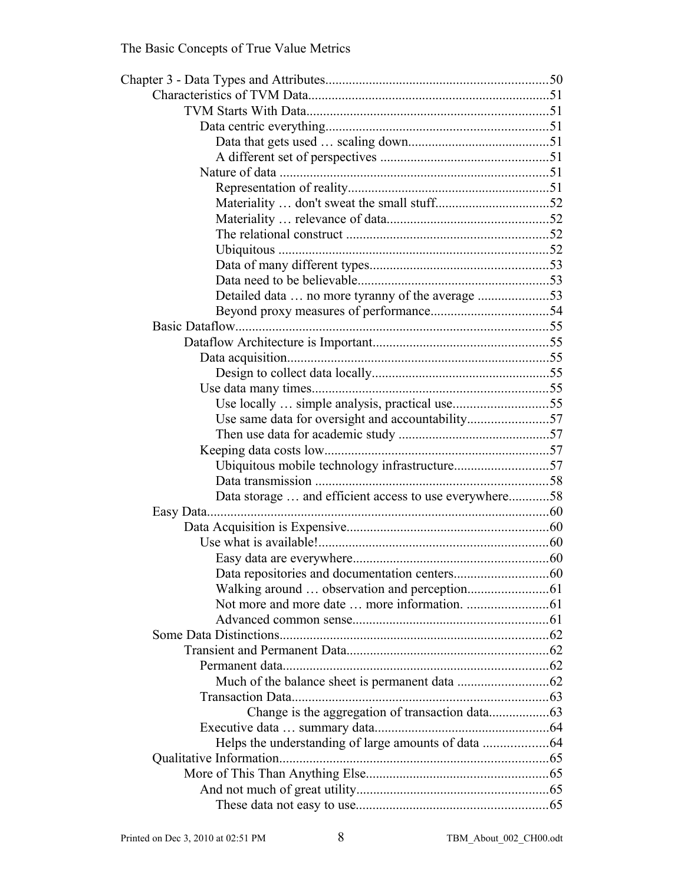| Detailed data  no more tyranny of the average 53       |  |
|--------------------------------------------------------|--|
|                                                        |  |
|                                                        |  |
|                                                        |  |
|                                                        |  |
|                                                        |  |
|                                                        |  |
| Use locally  simple analysis, practical use55          |  |
| Use same data for oversight and accountability57       |  |
|                                                        |  |
|                                                        |  |
|                                                        |  |
|                                                        |  |
| Data storage  and efficient access to use everywhere58 |  |
|                                                        |  |
|                                                        |  |
|                                                        |  |
|                                                        |  |
|                                                        |  |
|                                                        |  |
|                                                        |  |
|                                                        |  |
|                                                        |  |
|                                                        |  |
|                                                        |  |
|                                                        |  |
|                                                        |  |
|                                                        |  |
|                                                        |  |
|                                                        |  |
|                                                        |  |
|                                                        |  |
|                                                        |  |
|                                                        |  |
|                                                        |  |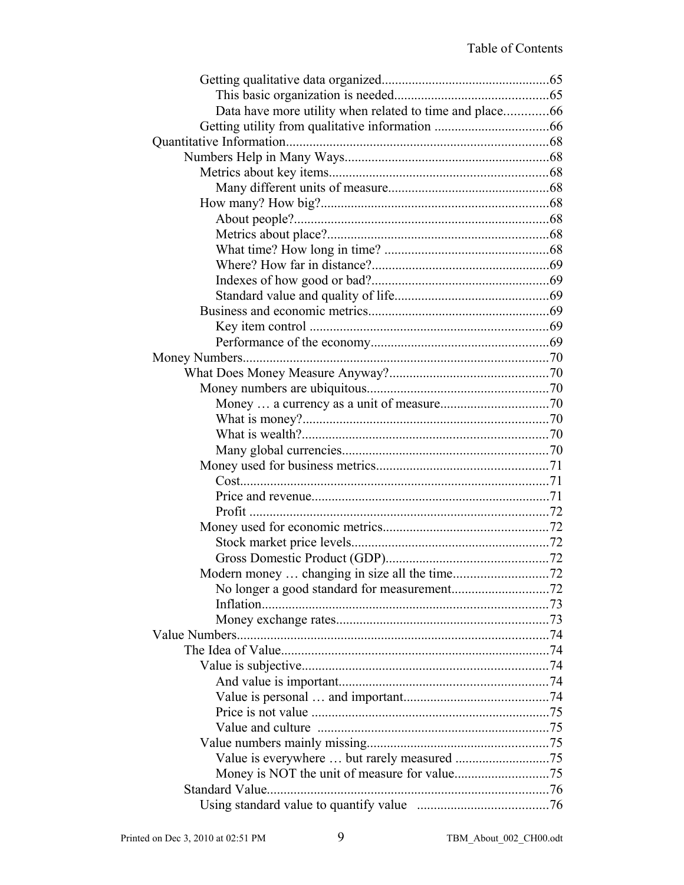| Standard Value |  |
|----------------|--|
|                |  |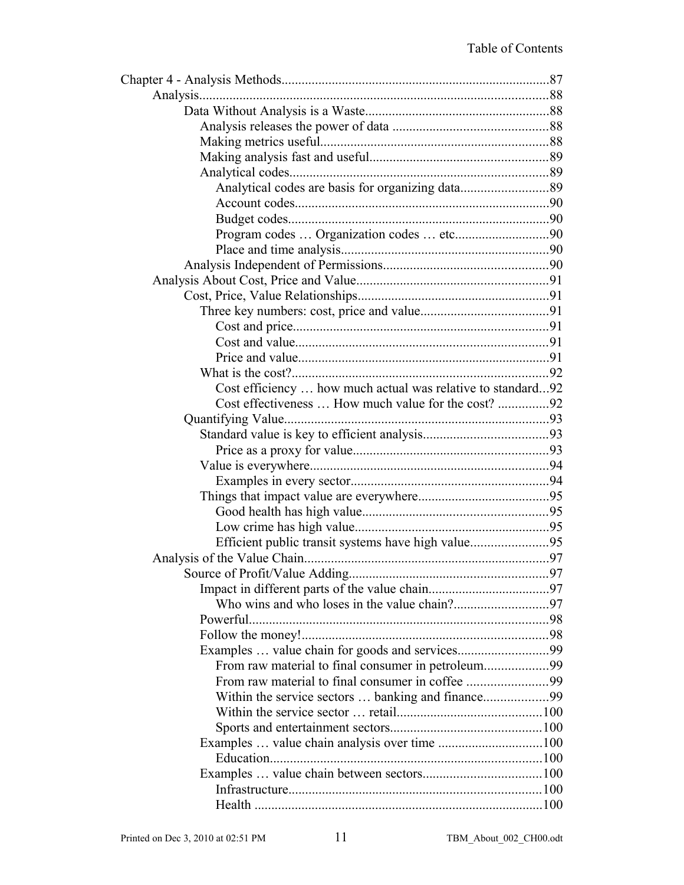| Cost efficiency  how much actual was relative to standard92 |  |
|-------------------------------------------------------------|--|
| Cost effectiveness  How much value for the cost? 92         |  |
|                                                             |  |
|                                                             |  |
|                                                             |  |
|                                                             |  |
|                                                             |  |
|                                                             |  |
|                                                             |  |
|                                                             |  |
| Efficient public transit systems have high value95          |  |
|                                                             |  |
|                                                             |  |
|                                                             |  |
|                                                             |  |
|                                                             |  |
|                                                             |  |
|                                                             |  |
| From raw material to final consumer in petroleum99          |  |
|                                                             |  |
|                                                             |  |
|                                                             |  |
|                                                             |  |
|                                                             |  |
|                                                             |  |
|                                                             |  |
|                                                             |  |
|                                                             |  |
|                                                             |  |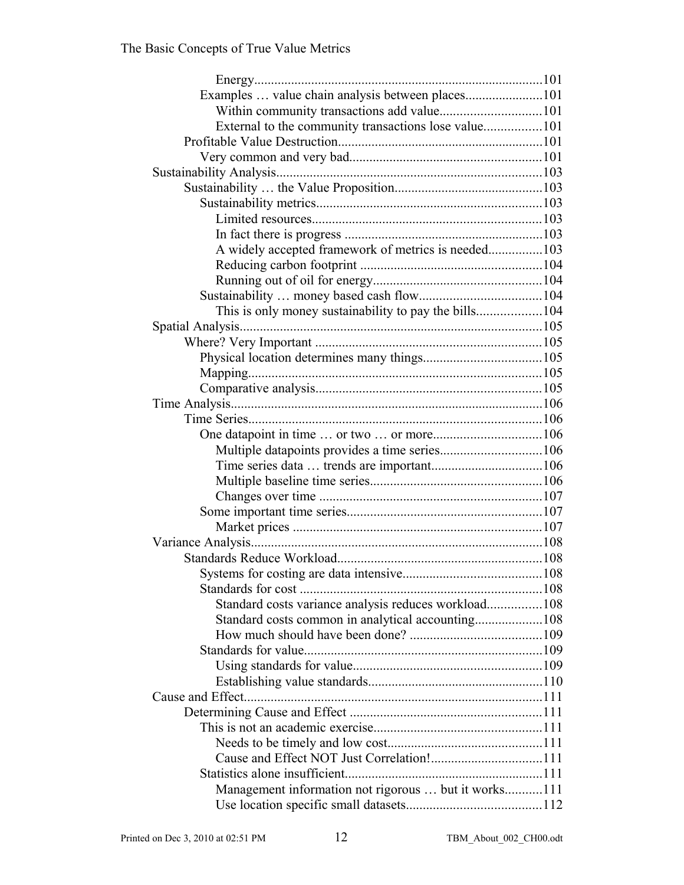| Examples  value chain analysis between places101      |  |
|-------------------------------------------------------|--|
|                                                       |  |
| External to the community transactions lose value101  |  |
|                                                       |  |
|                                                       |  |
|                                                       |  |
|                                                       |  |
|                                                       |  |
|                                                       |  |
|                                                       |  |
| A widely accepted framework of metrics is needed103   |  |
|                                                       |  |
|                                                       |  |
|                                                       |  |
| This is only money sustainability to pay the bills104 |  |
|                                                       |  |
|                                                       |  |
|                                                       |  |
|                                                       |  |
|                                                       |  |
|                                                       |  |
|                                                       |  |
| One datapoint in time  or two  or more106             |  |
|                                                       |  |
|                                                       |  |
|                                                       |  |
|                                                       |  |
|                                                       |  |
|                                                       |  |
|                                                       |  |
|                                                       |  |
|                                                       |  |
|                                                       |  |
| Standard costs variance analysis reduces workload108  |  |
| Standard costs common in analytical accounting108     |  |
|                                                       |  |
|                                                       |  |
|                                                       |  |
|                                                       |  |
|                                                       |  |
|                                                       |  |
|                                                       |  |
|                                                       |  |
|                                                       |  |
|                                                       |  |
| Management information not rigorous  but it works111  |  |
|                                                       |  |
|                                                       |  |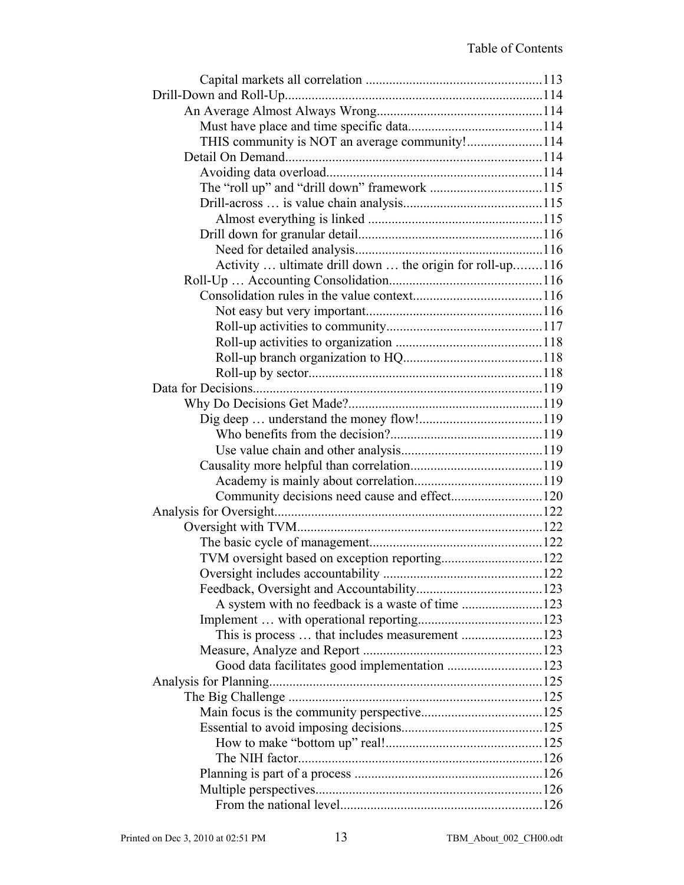| THIS community is NOT an average community!114           |  |
|----------------------------------------------------------|--|
|                                                          |  |
|                                                          |  |
|                                                          |  |
|                                                          |  |
|                                                          |  |
|                                                          |  |
|                                                          |  |
| Activity  ultimate drill down  the origin for roll-up116 |  |
|                                                          |  |
|                                                          |  |
|                                                          |  |
|                                                          |  |
|                                                          |  |
|                                                          |  |
|                                                          |  |
|                                                          |  |
|                                                          |  |
|                                                          |  |
|                                                          |  |
|                                                          |  |
|                                                          |  |
|                                                          |  |
| Community decisions need cause and effect120             |  |
|                                                          |  |
|                                                          |  |
|                                                          |  |
| TVM oversight based on exception reporting122            |  |
|                                                          |  |
|                                                          |  |
|                                                          |  |
|                                                          |  |
| This is process  that includes measurement 123           |  |
|                                                          |  |
|                                                          |  |
|                                                          |  |
|                                                          |  |
|                                                          |  |
|                                                          |  |
|                                                          |  |
|                                                          |  |
|                                                          |  |
|                                                          |  |
|                                                          |  |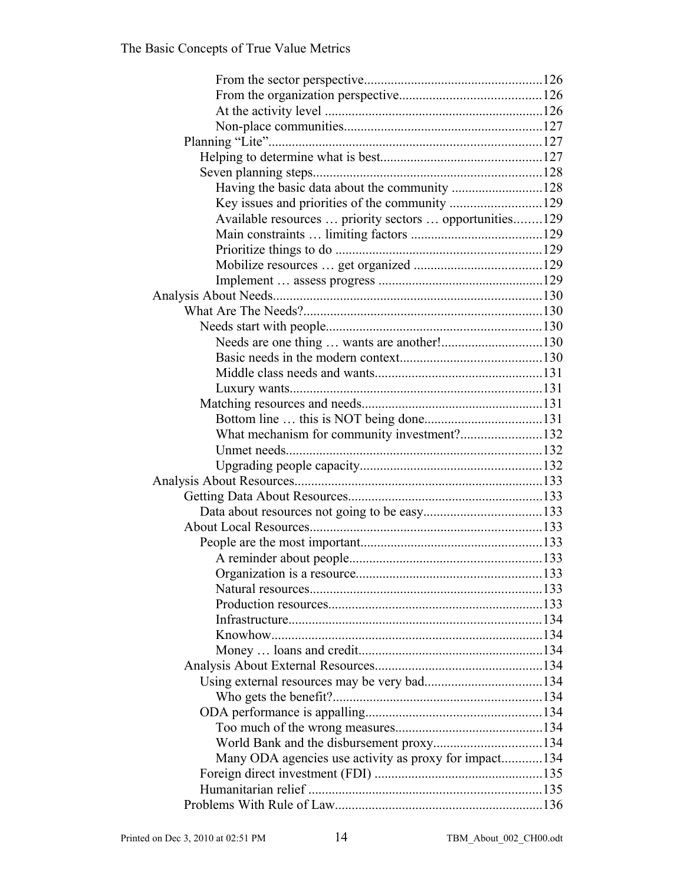| Available resources  priority sectors  opportunities129 |  |
|---------------------------------------------------------|--|
|                                                         |  |
|                                                         |  |
|                                                         |  |
|                                                         |  |
|                                                         |  |
|                                                         |  |
|                                                         |  |
| Needs are one thing  wants are another!130              |  |
|                                                         |  |
|                                                         |  |
|                                                         |  |
|                                                         |  |
|                                                         |  |
| What mechanism for community investment?132             |  |
|                                                         |  |
|                                                         |  |
|                                                         |  |
|                                                         |  |
|                                                         |  |
|                                                         |  |
|                                                         |  |
|                                                         |  |
|                                                         |  |
|                                                         |  |
|                                                         |  |
|                                                         |  |
|                                                         |  |
|                                                         |  |
|                                                         |  |
|                                                         |  |
|                                                         |  |
|                                                         |  |
|                                                         |  |
|                                                         |  |
|                                                         |  |
| Many ODA agencies use activity as proxy for impact134   |  |
|                                                         |  |
|                                                         |  |
|                                                         |  |
|                                                         |  |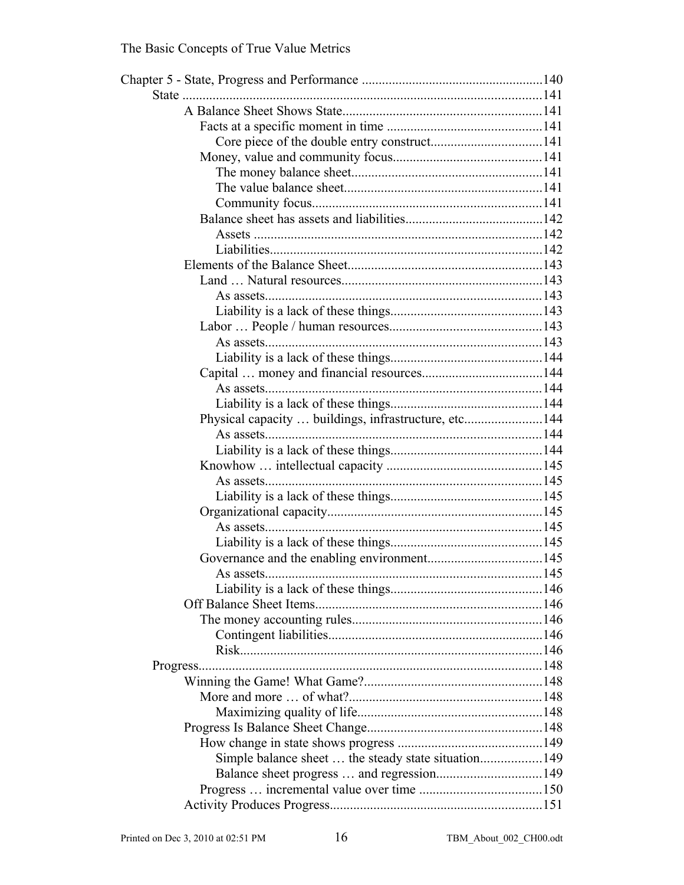| Physical capacity  buildings, infrastructure, etc144 |  |
|------------------------------------------------------|--|
|                                                      |  |
|                                                      |  |
|                                                      |  |
|                                                      |  |
|                                                      |  |
|                                                      |  |
|                                                      |  |
|                                                      |  |
|                                                      |  |
| As assets                                            |  |
|                                                      |  |
|                                                      |  |
|                                                      |  |
|                                                      |  |
|                                                      |  |
|                                                      |  |
|                                                      |  |
|                                                      |  |
|                                                      |  |
|                                                      |  |
|                                                      |  |
| Simple balance sheet  the steady state situation149  |  |
|                                                      |  |
|                                                      |  |
|                                                      |  |
|                                                      |  |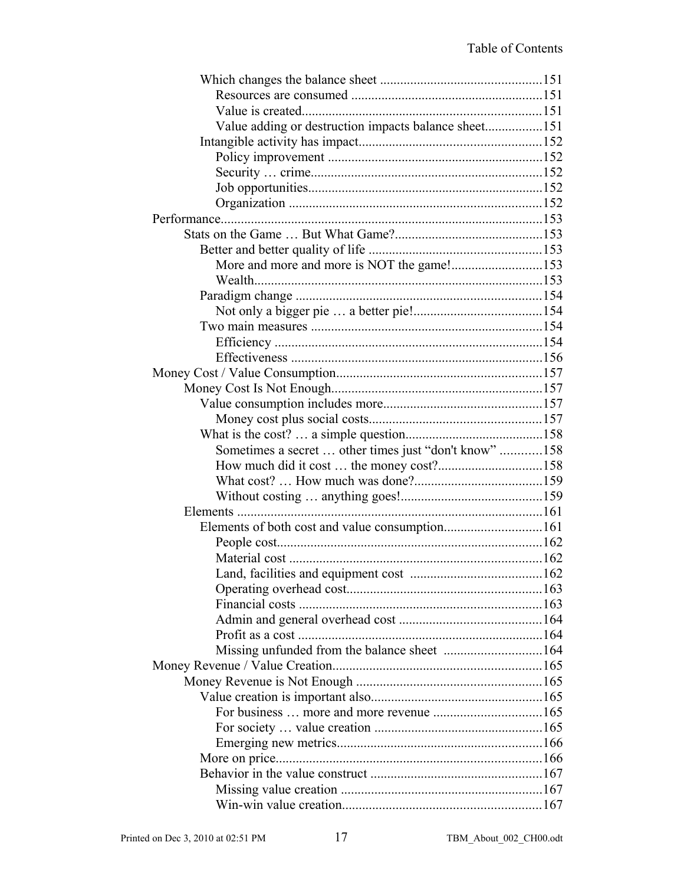| Value adding or destruction impacts balance sheet151  |  |
|-------------------------------------------------------|--|
|                                                       |  |
|                                                       |  |
|                                                       |  |
|                                                       |  |
|                                                       |  |
|                                                       |  |
|                                                       |  |
|                                                       |  |
| More and more and more is NOT the game!153            |  |
|                                                       |  |
|                                                       |  |
|                                                       |  |
|                                                       |  |
|                                                       |  |
|                                                       |  |
|                                                       |  |
|                                                       |  |
|                                                       |  |
|                                                       |  |
|                                                       |  |
| Sometimes a secret  other times just "don't know" 158 |  |
|                                                       |  |
|                                                       |  |
|                                                       |  |
|                                                       |  |
|                                                       |  |
|                                                       |  |
|                                                       |  |
|                                                       |  |
|                                                       |  |
|                                                       |  |
|                                                       |  |
|                                                       |  |
|                                                       |  |
|                                                       |  |
|                                                       |  |
|                                                       |  |
|                                                       |  |
|                                                       |  |
|                                                       |  |
|                                                       |  |
|                                                       |  |
|                                                       |  |
|                                                       |  |
|                                                       |  |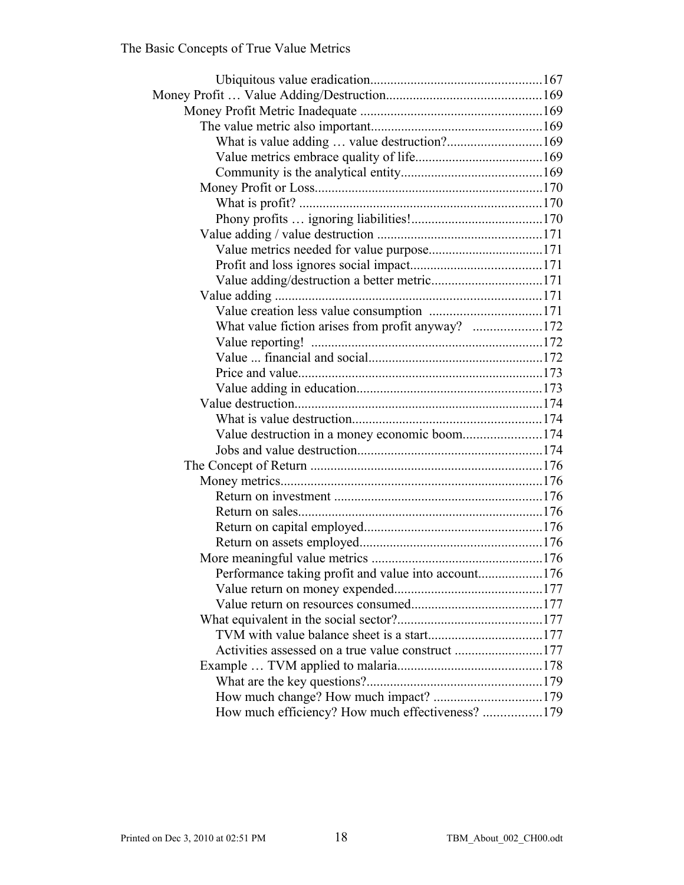| What value fiction arises from profit anyway? 172   |  |
|-----------------------------------------------------|--|
|                                                     |  |
|                                                     |  |
|                                                     |  |
|                                                     |  |
|                                                     |  |
|                                                     |  |
| Value destruction in a money economic boom174       |  |
|                                                     |  |
|                                                     |  |
|                                                     |  |
|                                                     |  |
|                                                     |  |
|                                                     |  |
|                                                     |  |
|                                                     |  |
| Performance taking profit and value into account176 |  |
|                                                     |  |
|                                                     |  |
|                                                     |  |
|                                                     |  |
| Activities assessed on a true value construct 177   |  |
|                                                     |  |
|                                                     |  |
|                                                     |  |
| How much efficiency? How much effectiveness? 179    |  |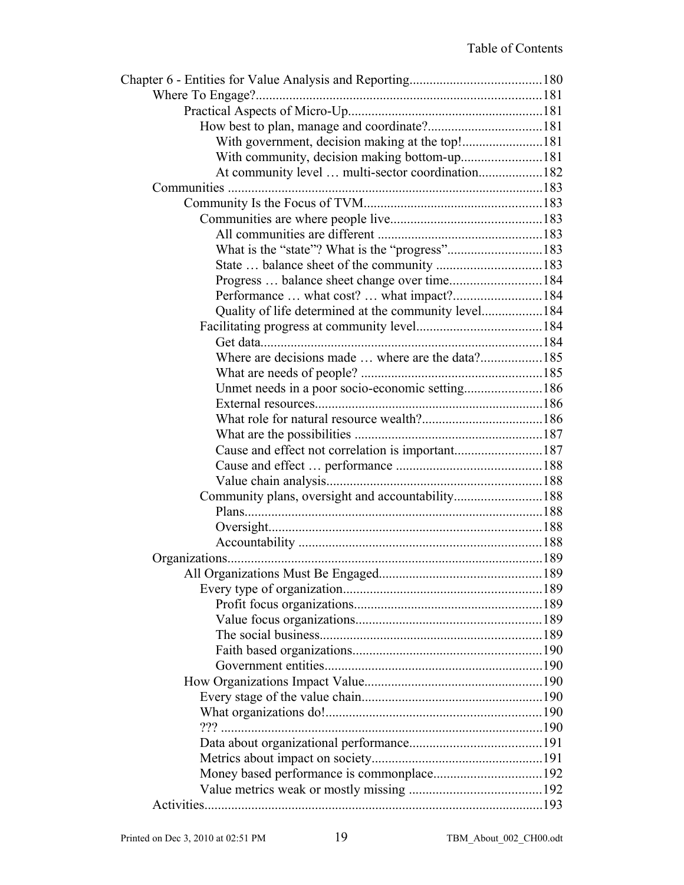| With government, decision making at the top!181      |  |
|------------------------------------------------------|--|
| With community, decision making bottom-up181         |  |
| At community level  multi-sector coordination182     |  |
|                                                      |  |
|                                                      |  |
|                                                      |  |
|                                                      |  |
|                                                      |  |
|                                                      |  |
| Progress  balance sheet change over time184          |  |
|                                                      |  |
| Quality of life determined at the community level184 |  |
|                                                      |  |
|                                                      |  |
|                                                      |  |
|                                                      |  |
| Unmet needs in a poor socio-economic setting186      |  |
|                                                      |  |
|                                                      |  |
|                                                      |  |
|                                                      |  |
|                                                      |  |
|                                                      |  |
| Community plans, oversight and accountability188     |  |
|                                                      |  |
|                                                      |  |
|                                                      |  |
|                                                      |  |
|                                                      |  |
|                                                      |  |
|                                                      |  |
|                                                      |  |
|                                                      |  |
|                                                      |  |
|                                                      |  |
|                                                      |  |
|                                                      |  |
|                                                      |  |
|                                                      |  |
|                                                      |  |
|                                                      |  |
|                                                      |  |
|                                                      |  |
|                                                      |  |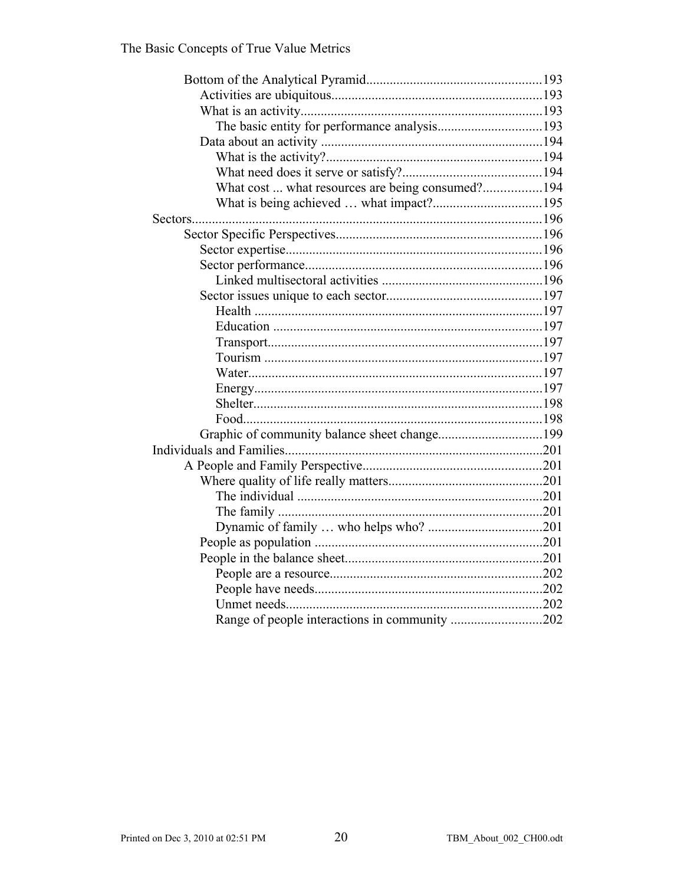| What cost  what resources are being consumed?194 |  |
|--------------------------------------------------|--|
|                                                  |  |
|                                                  |  |
|                                                  |  |
|                                                  |  |
|                                                  |  |
|                                                  |  |
|                                                  |  |
|                                                  |  |
|                                                  |  |
|                                                  |  |
|                                                  |  |
|                                                  |  |
|                                                  |  |
|                                                  |  |
|                                                  |  |
|                                                  |  |
|                                                  |  |
|                                                  |  |
|                                                  |  |
|                                                  |  |
|                                                  |  |
|                                                  |  |
|                                                  |  |
|                                                  |  |
|                                                  |  |
|                                                  |  |
|                                                  |  |
| Range of people interactions in community 202    |  |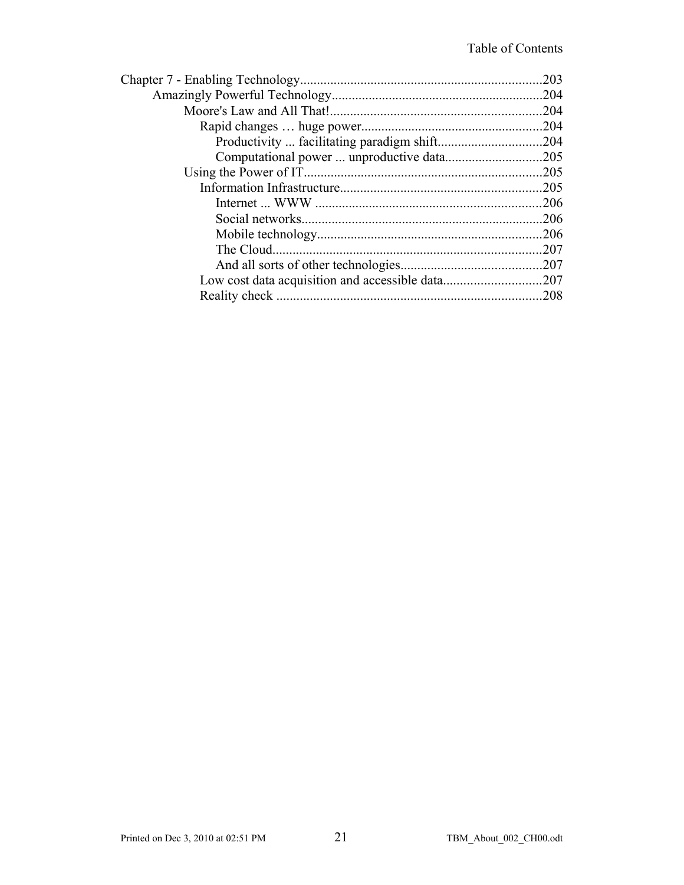| .203 |
|------|
|      |
|      |
|      |
|      |
|      |
|      |
| .205 |
|      |
| .206 |
| .206 |
| .207 |
|      |
|      |
| .208 |
|      |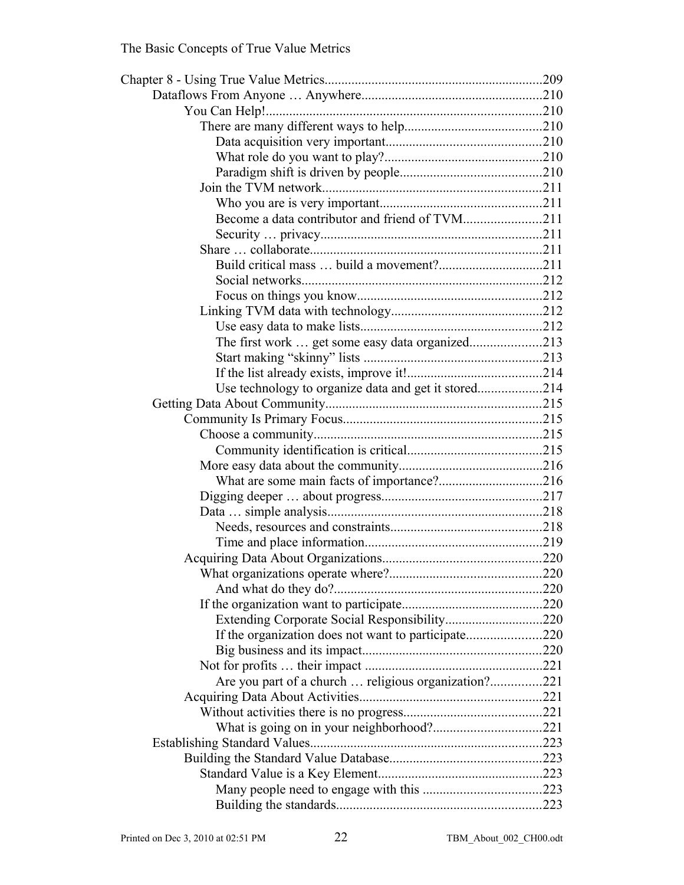| Become a data contributor and friend of TVM211       |  |
|------------------------------------------------------|--|
|                                                      |  |
|                                                      |  |
|                                                      |  |
|                                                      |  |
|                                                      |  |
|                                                      |  |
|                                                      |  |
| The first work  get some easy data organized213      |  |
|                                                      |  |
|                                                      |  |
|                                                      |  |
|                                                      |  |
|                                                      |  |
|                                                      |  |
|                                                      |  |
|                                                      |  |
|                                                      |  |
|                                                      |  |
|                                                      |  |
|                                                      |  |
|                                                      |  |
|                                                      |  |
|                                                      |  |
|                                                      |  |
|                                                      |  |
|                                                      |  |
|                                                      |  |
|                                                      |  |
|                                                      |  |
| Are you part of a church  religious organization?221 |  |
|                                                      |  |
|                                                      |  |
|                                                      |  |
|                                                      |  |
|                                                      |  |
|                                                      |  |
|                                                      |  |
|                                                      |  |
|                                                      |  |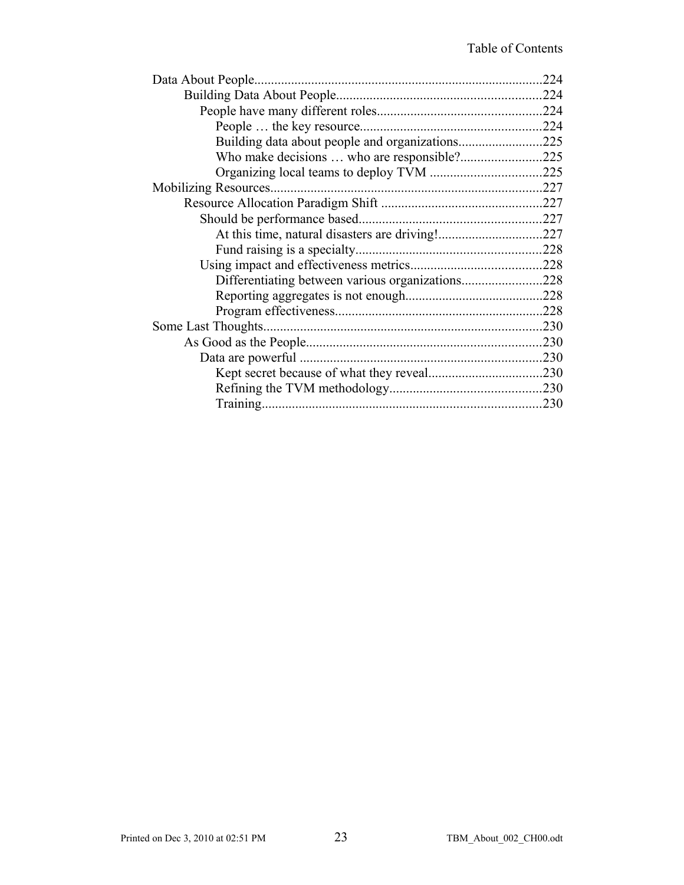|                                                  | .224 |
|--------------------------------------------------|------|
|                                                  |      |
|                                                  | .224 |
|                                                  |      |
| Building data about people and organizations225  |      |
|                                                  |      |
|                                                  |      |
|                                                  |      |
|                                                  |      |
|                                                  |      |
|                                                  |      |
|                                                  |      |
|                                                  |      |
| Differentiating between various organizations228 |      |
|                                                  |      |
|                                                  |      |
|                                                  | .230 |
|                                                  |      |
|                                                  |      |
|                                                  |      |
|                                                  |      |
|                                                  | .230 |